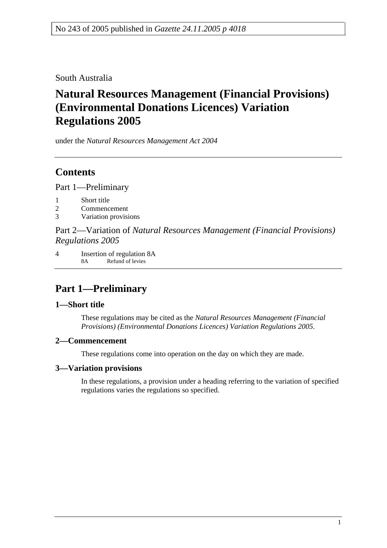South Australia

# **Natural Resources Management (Financial Provisions) (Environmental Donations Licences) Variation Regulations 2005**

under the *Natural Resources Management Act 2004*

# **Contents**

Part 1—Preliminary

- 1 Short title
- 2 Commencement
- 3 Variation provisions

Part 2—Variation of *Natural Resources Management (Financial Provisions) Regulations 2005*

4 Insertion of regulation 8A 8A Refund of levies

# **Part 1—Preliminary**

### **1—Short title**

These regulations may be cited as the *Natural Resources Management (Financial Provisions) (Environmental Donations Licences) Variation Regulations 2005*.

### **2—Commencement**

These regulations come into operation on the day on which they are made.

## **3—Variation provisions**

In these regulations, a provision under a heading referring to the variation of specified regulations varies the regulations so specified.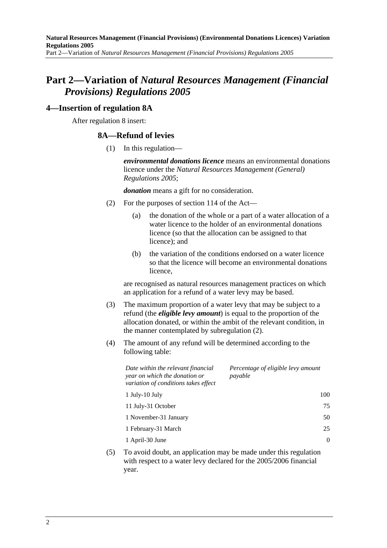# **Part 2—Variation of** *Natural Resources Management (Financial Provisions) Regulations 2005*

#### **4—Insertion of regulation 8A**

After regulation 8 insert:

#### **8A—Refund of levies**

(1) In this regulation—

*environmental donations licence* means an environmental donations licence under the *Natural Resources Management (General) Regulations 2005*;

*donation* means a gift for no consideration.

- (2) For the purposes of section 114 of the Act—
	- (a) the donation of the whole or a part of a water allocation of a water licence to the holder of an environmental donations licence (so that the allocation can be assigned to that licence); and
	- (b) the variation of the conditions endorsed on a water licence so that the licence will become an environmental donations licence,

are recognised as natural resources management practices on which an application for a refund of a water levy may be based.

- (3) The maximum proportion of a water levy that may be subject to a refund (the *eligible levy amount*) is equal to the proportion of the allocation donated, or within the ambit of the relevant condition, in the manner contemplated by subregulation (2).
- (4) The amount of any refund will be determined according to the following table:

| Date within the relevant financial<br>year on which the donation or<br>variation of conditions takes effect | Percentage of eligible levy amount<br>payable |
|-------------------------------------------------------------------------------------------------------------|-----------------------------------------------|
| $1$ July- $10$ July                                                                                         | 100                                           |
| 11 July-31 October                                                                                          | 75                                            |
| 1 November-31 January                                                                                       | 50                                            |
| 1 February-31 March                                                                                         | 25                                            |
| 1 April-30 June                                                                                             | 0                                             |

 (5) To avoid doubt, an application may be made under this regulation with respect to a water levy declared for the 2005/2006 financial year.